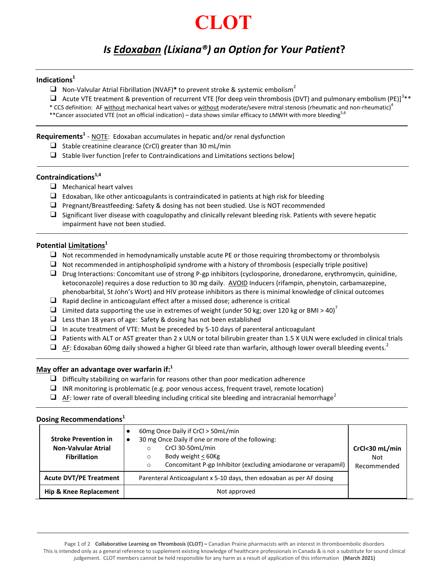# **CLOT**

# *Is Edoxaban (Lixiana®) an Option for Your Patient***?**

# **Indications<sup>1</sup>**

❑ Non-Valvular Atrial Fibrillation (NVAF)**\*** to prevent stroke & systemic embolism<sup>2</sup>

 $\Box$  Acute VTE treatment & prevention of recurrent VTE [for deep vein thrombosis (DVT) and pulmonary embolism (PE)]<sup>3\*\*</sup>

\* CCS definition: AF without mechanical heart valves or without moderate/severe mitral stenosis (rheumatic and non-rheumatic)<sup>4</sup>

\*\*Cancer associated VTE (not an official indication) – data shows similar efficacy to LMWH with more bleeding<sup>5,6</sup>

**Requirements<sup>1</sup>** - NOTE: Edoxaban accumulates in hepatic and/or renal dysfunction

- $\Box$  Stable creatinine clearance (CrCl) greater than 30 mL/min
- ❑ Stable liver function [refer to Contraindications and Limitations sections below]

# **Contraindications1,4**

- ❑ Mechanical heart valves
- $\Box$  Edoxaban, like other anticoagulants is contraindicated in patients at high risk for bleeding
- ❑ Pregnant/Breastfeeding: Safety & dosing has not been studied. Use is NOT recommended
- $\Box$  Significant liver disease with coagulopathy and clinically relevant bleeding risk. Patients with severe hepatic impairment have not been studied.

## **Potential Limitations<sup>1</sup>**

- ❑ Not recommended in hemodynamically unstable acute PE or those requiring thrombectomy or thrombolysis
- $\Box$  Not recommended in antiphospholipid syndrome with a history of thrombosis (especially triple positive)
- ❑ Drug Interactions: Concomitant use of strong P-gp inhibitors (cyclosporine, dronedarone, erythromycin, quinidine, ketoconazole) requires a dose reduction to 30 mg daily. AVOID Inducers (rifampin, phenytoin, carbamazepine, phenobarbital, St John's Wort) and HIV protease inhibitors as there is minimal knowledge of clinical outcomes
- ❑ Rapid decline in anticoagulant effect after a missed dose; adherence is critical
- □ Limited data supporting the use in extremes of weight (under 50 kg; over 120 kg or BMI > 40)<sup>7</sup>
- $\Box$  Less than 18 years of age: Safety & dosing has not been established
- ❑ In acute treatment of VTE: Must be preceded by 5-10 days of parenteral anticoagulant
- $\Box$  Patients with ALT or AST greater than 2 x ULN or total bilirubin greater than 1.5 X ULN were excluded in clinical trials
- $\Box$  AF: Edoxaban 60mg daily showed a higher GI bleed rate than warfarin, although lower overall bleeding events.<sup>2</sup>

# **May offer an advantage over warfarin if:<sup>1</sup>**

- $\Box$  Difficulty stabilizing on warfarin for reasons other than poor medication adherence
- ❑ INR monitoring is problematic (e.g. poor venous access, frequent travel, remote location)
- $\Box$  AF: lower rate of overall bleeding including critical site bleeding and intracranial hemorrhage<sup>2</sup>

# **Dosing Recommendations<sup>1</sup>**

| <b>Stroke Prevention in</b><br><b>Non-Valvular Atrial</b><br><b>Fibrillation</b> | 60mg Once Daily if CrCl > 50mL/min<br>30 mg Once Daily if one or more of the following:<br>CrCl 30-50mL/min<br>O<br>Body weight < 60Kg<br>O<br>Concomitant P-gp Inhibitor (excluding amiodarone or verapamil)<br>O | CrCl<30 mL/min<br>Not.<br>Recommended |
|----------------------------------------------------------------------------------|--------------------------------------------------------------------------------------------------------------------------------------------------------------------------------------------------------------------|---------------------------------------|
| <b>Acute DVT/PE Treatment</b>                                                    | Parenteral Anticoagulant x 5-10 days, then edoxaban as per AF dosing                                                                                                                                               |                                       |
| Hip & Knee Replacement                                                           | Not approved                                                                                                                                                                                                       |                                       |